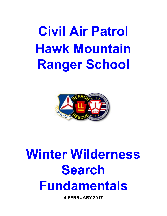**Civil Air Patrol Hawk Mountain Ranger School**



# **Winter Wilderness Search Fundamentals**

**4 FEBRUARY 2017**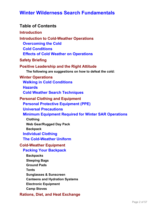### **Table of Contents**

### **Introduction Introduction to Cold-Weather Operations Overcoming the Cold Cold Conditions Effects of Cold Weather on Operations Safety Briefing Positive Leadership and the Right Attitude The following are suggestions on how to defeat the cold: Winter Operations Walking in Cold Conditions Hazards Cold Weather Search Techniques Personal Clothing and Equipment Personal Protective Equipment (PPE) Universal Precautions Minimum Equipment Required for Winter SAR Operations Clothing Web Gear/Rugged Day Pack Backpack Individual Clothing The Cold-Weather Uniform Cold-Weather Equipment Packing Your Backpack Backpacks Sleeping Bags Ground Pads Tents**

**Sunglasses & Sunscreen**

**Canteens and Hydration Systems**

**Electronic Equipment**

**Camp Stoves**

#### **Rations, Diet, and Heat Exchange**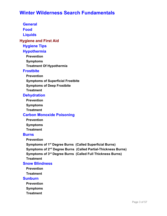**General**

**Food**

**Liquids**

**Hygiene and First Aid**

**Hygiene Tips**

#### **Hypothermia**

**Prevention**

**Symptoms**

**Treatment Of Hypothermia**

#### **Frostbite**

**Prevention**

**Symptoms of Superficial Frostbite**

**Symptoms of Deep Frostbite**

**Treatment**

#### **Dehydration**

**Prevention**

**Symptoms**

**Treatment**

#### **Carbon Monoxide Poisoning**

**Prevention**

**Symptoms Treatment**

#### **Burns**

**Prevention**

**Symptoms of 1 st Degree Burns (Called Superficial Burns) Symptoms of 2 nd Degree Burns (Called Partial-Thickness Burns) Symptoms of 3 rd Degree Burns (Called Full Thickness Burns) Treatment**

#### **Snow Blindness**

**Prevention**

**Treatment**

#### **Sunburn**

**Prevention**

**Symptoms**

**Treatment**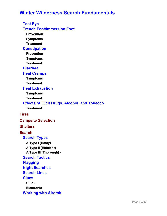**Tent Eye Trench Foot/Immersion Foot Prevention Symptoms Treatment Constipation Prevention Symptoms Treatment Diarrhea Heat Cramps Symptoms Treatment Heat Exhaustion Symptoms Treatment Effects of Illicit Drugs, Alcohol, and Tobacco Treatment Fires Campsite Selection Shelters Search Search Types A Type I (Hasty) - A Type II (Efficient) - A Type III (Thorough) - Search Tactics Flagging Night Searches Search Lines Clues Clue - Electronic –**

**Working with Aircraft**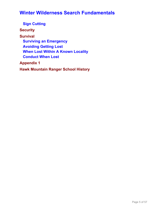**Sign Cutting Security Survival Surviving an Emergency Avoiding Getting Lost When Lost Within A Known Locality Conduct When Lost Appendix 1**

**Hawk Mountain Ranger School History**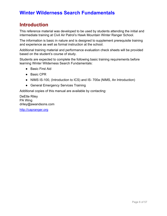# **Introduction**

This reference material was developed to be used by students attending the initial and intermediate training at Civil Air Patrol's Hawk Mountain Winter Ranger School.

The information is basic in nature and is designed to supplement prerequisite training and experience as well as formal instruction at the school.

Additional training material and performance evaluation check sheets will be provided based on the student's course of study.

Students are expected to complete the following basic training requirements before learning Winter Wilderness Search Fundamentals:

- Basic First Aid
- Basic CPR
- NIMS IS-100, (Introduction to ICS) and IS- 700a (NIMS, An Introduction)
- General Emergency Services Training

Additional copies of this manual are available by contacting:

DeEtte Riley PA Wing driley@awandsons.com

[http://capranger.org](http://capranger.org/)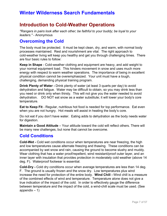### **Introduction to Cold-Weather Operations**

*"Rangers in pairs look after each other; be faithful to your buddy; be loyal to your leaders."* - Anonymous

### **Overcoming the Cold**

The body must be protected. It must be kept clean, dry, and warm, with normal body processes maintained. Rest and nourishment are vital. The right approach to cold-weather living will keep you healthy and get you through challenging times. There are four basic rules to follow:

**Keep in Shape** - Cold-weather clothing and equipment are heavy, and add weight to your normal equipment load. This hinders movement in snow and uses much more energy with respect to warm weather operations. The importance of being in excellent physical condition cannot be overemphasized. Your unit must have a tough, challenging, demanding physical training program.

**Drink Plenty of Water -** Drink plenty of water (at least 3 quarts per day) to avoid dehydration and fatigue. Water may be difficult to obtain, so you may drink less than you need or drink only when thirsty. This will not give you the water needed to avoid dehydration. DO NOT eat snow as a water substitute; it will lower your body's core temperature.

**Eat to Keep Fit** - Regular, nutritious hot food is needed for top performance. Eat even when you are not hungry. Hot meals will assist in heating the body's core.

Do not eat if you don't have water. Eating adds to dehydration as the body needs water for digestion.

**Maintain a Good Attitude** – Your attitude toward the cold will reflect others. There will be many new challenges, but none that cannot be overcome.

### **Cold Conditions**

**Cold-Wet -** Cold wet conditions occur when temperatures are near freezing, the high and low temperatures cause alternate freezing and thawing. These conditions can be accompanied by wet snow and rain, causing the ground to become slushy and muddy. Wear clothing that has a water proof/repellent, wind resistant/proof outer layer, and an inner layer with insulation that provides protection in moderately cold weather (above 14 deg. F). Waterproof footwear is essential.

**Cold-Dry -** Cold dry conditions occur when average temperatures are less than 14 deg. F. The ground is usually frozen and the snow dry. Low temperatures plus wind increase the need for protection of the entire body. **Wind Chill -** Wind chill is a measure of the combined effects of wind and temperature. Temperature alone does not give a true indication of the impact of the cold. In order to effectively gauge the difference between temperature and the impact of the cold, a wind-chill scale must be used. (See appendix  $-1$ )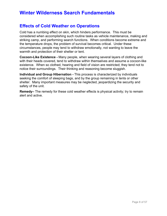### **Effects of Cold Weather on Operations**

Cold has a numbing effect on skin, which hinders performance. This must be considered when accomplishing such routine tasks as vehicle maintenance, making and striking camp, and performing search functions. When conditions become extreme and the temperature drops, the problem of survival becomes critical. Under these circumstances, people may tend to withdraw emotionally, not wanting to leave the warmth and protection of their shelter or tent.

**Cocoon-Like Existence -** Many people, when wearing several layers of clothing and with their heads covered, tend to withdraw within themselves and assume a cocoon-like existence. When so clothed, hearing and field of vision are restricted; they tend not to notice their surroundings. Their thinking and reasoning become sluggish.

**Individual and Group Hibernation -** This process is characterized by individuals seeking the comfort of sleeping bags, and by the group remaining in tents or other shelter. Many important measures may be neglected, jeopardizing the security and safety of the unit.

**Remedy–** The remedy for these cold weather effects is physical activity; try to remain alert and active.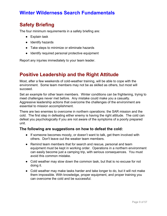# **Safety Briefing**

The four minimum requirements in a safety briefing are:

- Explain task
- Identify hazards
- Take steps to minimize or eliminate hazards
- Identify required personal protective equipment

Report any injuries immediately to your team leader.

# **Positive Leadership and the Right Attitude**

Most, after a few weekends of cold-weather training, will be able to cope with the environment. Some team members may not be as skilled as others, but most will succeed.

Set an example for other team members. Winter conditions can be frightening, trying to meet challenges never met before. Any mistake could make you a casualty. Aggressive leadership actions that overcome the challenges of the environment are essential to mission accomplishment.

There are two enemies to overcome in northern operations: the SAR mission and the cold. The first step in defeating either enemy is having the right attitude. The cold can defeat you psychologically if you are not aware of the symptoms of a poorly prepared unit.

#### **The following are suggestions on how to defeat the cold:**

- If someone becomes moody, or doesn't want to talk, get them involved with others. Don't leave out the weaker team members.
- Remind team members that for search and rescue, personal and team equipment must be kept in working order. Operations in a northern environment can easily become just a camping trip, with serious consequences. You must avoid this common mistake.
- Cold weather may slow down the common task, but that is no excuse for not doing it.
- Cold weather may make tasks harder and take longer to do, but it will not make them impossible. With knowledge, proper equipment, and proper training you can overcome the cold and be successful.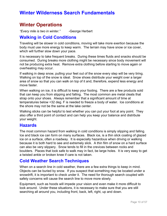## **Winter Operations**

*"Every mile is two in winter."* -George Herbert

### **Walking in Cold Conditions**

Traveling will be slower in cold conditions, moving will take more exertion because the body must use more energy to keep warm. The terrain may have snow or ice cover, which will further slow down your pace.

It is necessary to take frequent breaks. During these times fluids and snacks should be consumed. During breaks more clothing might be necessary since body movement will not be producing extra heat. Remove extra clothing before starting to move again or overheating may occur.

If walking in deep snow, pulling your feet out of the snow every step will be very tiring. Walking on top of the snow is ideal. Snow shoes distribute your weight over a larger area of snow so that you can walk on top of it and, therefore, expend less energy and move faster.

When walking on ice, it is difficult to keep your footing. There are a few products sold that can keep you from slipping and falling. The most common are metal cleats that strap onto your shoes. Always remember that a significant amount of time at temperatures below <32 deg. F is needed to freeze a body of water. Ice conditions at the shore may not be the same at the lake center.

Walking sticks can be helpful to test whether you can put your foot at any point. They also offer a third point of contact and can help you keep your balance and distribute your weight.

### **Hazards**

The most common hazard from walking in cold conditions is simply slipping and falling. Ice and black ice can form on many surfaces. Black ice, is a thin slick coating of glazed ice on a surface, often a roadway. It is especially hazardous when driving or walking because it is both hard to see and extremely slick. A thin film of snow on a hard surface can also be very slippery. Snow tends to fill in the crevices between rocks and boulders. Places that look safe to walk may in fact, be large holes. It is very easy to get a twisted ankle or broken knee if care is not taken.

### **Cold Weather Search Techniques**

When on a search line in cold weather, there are a few extra things to keep in mind. Objects can be buried by snow. If you suspect that something may be located under a snowdrift, it is important to check under it. The need for thorough search coupled with safety concerns will cause the search line to move more slowly.

Equipment, such as hoods will impede your vision and even make it more difficult to look around. Under these situations, it is necessary to make sure that you are still searching all around you, including front, back, left, right, up and down.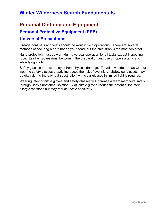# **Personal Clothing and Equipment**

### **Personal Protective Equipment (PPE)**

### **Universal Precautions**

Orange hard hats and vests should be worn in field operations. There are several methods of securing a hard hat on your head, but the chin strap is the most foolproof.

Hand protection must be worn during vertical operation for all tasks except inspecting rope. Leather gloves must be worn in the preparation and use of rope systems and while tying knots.

Safety glasses protect the eyes from physical damage. Travel in wooded areas without wearing safety glasses greatly increases the risk of eye injury. Safety sunglasses may be okay during the day, but substitution with clear glasses in limited light is required.

Wearing latex or nitrile gloves and safety glasses will increase a team member's safety through Body Substance Isolation (BSI). Nitrile gloves reduce the potential for latex allergic reactions but may reduce tactile sensitivity.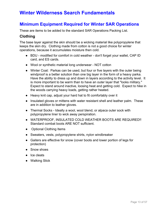### **Minimum Equipment Required for Winter SAR Operations**

These are items to be added to the standard SAR Operations Packing List.

#### **Clothing**

The base layer against the skin should be a wicking material like polypropylene that keeps the skin dry. Clothing made from cotton is not a good choice for winter operations, because it accumulates moisture then cold.

- BDU modified for comfort in cold weather don't forget your wallet, CAP ID card, and ES cards.
- Wool or synthetic material long underwear NOT cotton
- Winter Coat: Parkas can be used, but four or five layers with the outer being windproof is a better solution than one big layer in the form of a heavy parka. Have the ability to dress up and down in layers according to the activity level. It is more important to be warm than to have an outer layer that "looks military." Expect to stand around inactive, loosing heat and getting cold. Expect to hike in the woods carrying heavy loads, getting rather heated.
- Heavy knit cap, adjust your hard hat to fit comfortably over it
- Insulated gloves or mittens with water resistant shell and leather palm. These are in addition to leather gloves.
- Thermal Socks Ideally a wool, wool blend, or alpaca outer sock with polypropylene liner to wick away perspiration.
- WATERPROOF, INSULATED COLD WEATHER BOOTS ARE REQUIRED!! Standard combat boots ARE NOT sufficient.
- Optional Clothing Items
- Sweaters, vests, polypropylene shirts, nylon windbreaker
- Gaiters are effective for snow (cover boots and lower portion of legs for protection)
- Snow shoes
- Ice cleats
- Walking Stick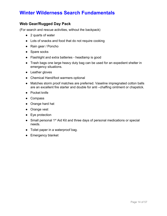### **Web Gear/Rugged Day Pack**

(For search and rescue activities, without the backpack)

- 2 quarts of water
- Lots of snacks and food that do not require cooking
- Rain gear / Poncho
- Spare socks
- Flashlight and extra batteries headlamp is good
- Trash bags one large heavy duty bag can be used for an expedient shelter in emergency situations.
- Leather gloves
- Chemical Hand/foot warmers optional
- Matches storm proof matches are preferred. Vaseline impregnated cotton balls are an excellent fire starter and double for anti –chaffing ointment or chapstick.
- Pocket knife
- Compass
- Orange hard hat
- Orange vest
- Eye protection
- Small personal 1<sup>st</sup> Aid Kit and three days of personal medications or special needs.
- Toilet paper in a waterproof bag.
- Emergency blanket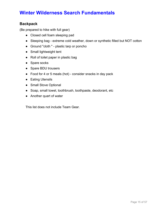### **Backpack**

(Be prepared to hike with full gear)

- Closed cell foam sleeping pad
- Sleeping bag extreme cold weather, down or synthetic filled but NOT cotton
- Ground "cloth " plastic tarp or poncho
- Small lightweight tent
- Roll of toilet paper in plastic bag
- Spare socks
- Spare BDU trousers
- Food for 4 or 5 meals (hot) consider snacks in day pack
- Eating Utensils
- Small Stove Optional
- Soap, small towel, toothbrush, toothpaste, deodorant, etc
- Another quart of water

This list does not include Team Gear.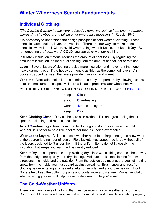### **Individual Clothing**

"*The freezing German troops were reduced to removing clothes from enemy corpses, improvising strawboots, and taking other emergency measures."* - Russia, 1942

It is necessary to understand the design principles of cold-weather clothing. These principles are: insulate, layer, and ventilate. There are four ways to make these principles work: keep it **C**lean, avoid **O**verheating, wear it **L**oose, and keep it **D**ry. By remembering the "buzz word" **COLD**, you can quickly check clothing.

**Insulate -** Insulation material reduces the amount of heat loss. By regulating the amount of insulation, an individual can regulate the amount of heat lost or retained.

**Layer -** Several layers of clothing provide more insulation and movement than one heavy garment, even if the heavy garment is as thick as the combined layers. Air pockets trapped between the layers provide insulation and warmth.

**Ventilate -** Ventilation helps keep a comfortable body temperature by allowing excess heat and moisture to escape. Moisture will cause problems later when inactive.

\*\*\*\* THE KEY TO KEEPING WARM IN COLD CLIMATES IS THE WORD **C O L D**

keep it **C** lean avoid **O** verheating wear in **L** oose in Layers keep it **D** ry

**Keep Clothing Clean -** Dirty clothes are cold clothes. Dirt and grease clog the air spaces in clothing and reduce insulation.

**Avoid Overheating -** Select comfortable clothing and do not overdress. In cold weather, it is better to be a little cool rather than risk being overheated.

**Wear Loose Layers -** All items in cold-weather need to be large enough to allow wear of the appropriate number of layers. Field jackets may appear too large without all of the layers designed to fit under them. If the uniform items do not fit loosely, the insulation that keeps you warm will be greatly reduced.

**Keep It Dry -** It is important to keep clothing dry, since wet clothing conducts heat away from the body more quickly than dry clothing. Moisture soaks into clothing from two directions: the inside and the outside. From the outside you must guard against melting snow; from the inside you must guard against sweating. Brush snow and frost from clothing before entering any heated shelter or vehicle, and avoid overheating. Boot Gaiters help keep the bottom of pants and boots snow and ice free. Proper ventilation when exerting yourself will help to evaporate sweat while you're warm.

### **The Cold-Weather Uniform**

There are many layers of clothing that must be worn in a cold weather environment. Cotton should be avoided because it absorbs moisture and loses its insulating property.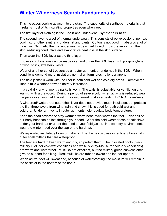This increases cooling adjacent to the skin. The superiority of synthetic material is that it retains most of its insulating properties even when wet.

The first layer of clothing is the T-shirt and underwear. **Synthetic is best.**

The second layer is a set of thermal underwear. This consists of polypropylene, nomex, coolmax, or other synthetic undershirt and pants. Cotton is not good. It absorbs a lot of moisture. Synthetic thermal underwear is designed to wick moisture away from the skin, reducing conductive and evaporative heat loss at the skin surface.

Then wear the BDU layer as the third layer.

Endless combinations can be made over and under the BDU layer with polypropylene or wool shirts, sweaters, vests.

Wear of another set of trousers as an outer garment, or underneath the BDU. When conditions demand more insulation, normal uniform rules no longer apply.

The field jacket is worn with the liner in both cold-wet and cold-dry areas. Remove the liner in mild weather or when activity increases.

In a cold-dry environment a parka is worn. The waist is adjustable for ventilation and warmth with a drawcord. During a period of severe cold, when activity is reduced, wear the parka over your field jacket. To avoid sweating & overheating DO NOT overdress.

A windproof/ waterproof outer shell layer does not provide much insulation, but protects the first three layers from wind, rain and snow; this is good for both cold-wet and cold-dry. Under arm vents in outer garments help regulate body temperature.

Keep the head covered to stay warm; a warm head even warms the feet. Over half of our body heat can be lost through your head. Wear the cold-weather cap or balaclava under your hard hat or under the hood to your field jacket. In a cold-dry environment, wear the winter hood over the cap or the hard hat.

Waterproofed insulated gloves or mittens. In extreme cold, use inner liner gloves with outer shell mittens that are waterproof.

The feet are hard to keep warm and dry, so protect them. The insulated boots (black military QMC for cold-wet conditions and white Mickey-Mouse for cold-dry conditions) are warm and waterproof. Mukluks are excellent, but the military green canvass ones give no support for hiking. Real mukluks are rubber lowers and leather uppers.

When active, feet will sweat and, because of waterproofing, the moisture will remain in the socks or in the bottom of the boots.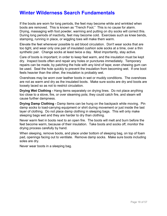If the boots are worn for long periods, the feet may become white and wrinkled when boots are removed. This is known as "Trench Foot." This is no cause for alarm. Drying, massaging with foot powder, warming and putting on dry socks will correct this. During long periods of inactivity, feet may become cold. Exercises such as knee bends, stamping, running in place, or wiggling toes will make them warm.

Elevate the feet whenever possible to aid blood circulation. Don't wear socks that are too tight, and wear only one pair of insulated cushion sole socks at a time, over a thin synthetic pair. Change socks at least twice a day. Most importantly, stay active.

Care of boots is important; in order to keep feet warm, and the insulation must be kept dry. Inspect boots often and repair any holes or punctures immediately. Temporary repairs can be made, by patching the hole with any kind of tape; even chewing gum can be used. Seal the hole quickly to prevent the insulation from becoming wet. If one boot feels heavier than the other, the insulation is probably wet.

Overshoes may be worn over leather boots in wet or muddy conditions. The overshoes are not as warm and dry as the insulated boots. Make sure socks are dry and boots are loosely laced so as not to restrict circulation.

**Drying Wet Clothing -** Hang items separately on drying lines. Do not place anything too close to a stove, fire, or over steaming pots; they could catch fire, and steam will cause further dampness.

**Drying Damp Clothing -** Damp items can be hung on the backpack while moving. Pin damp socks to load-carrying equipment or shirt during movement or just inside the last layer of clothing. Do not place damp clothing in sleeping bags. This will only make sleeping bags wet and they are harder to dry than clothing.

Never warm feet in boots next to an open fire. The boots will melt and burn before the feet become warm, because of their insulation. Take boots and socks off, monitor the drying process carefully by hand.

When sleeping, remove boots, and place under bottom of sleeping bag, on top of foam pad, openings facing out to ventilate. Remove damp socks. Make sure boots including soles are dry.

Never wear boots in a sleeping bag.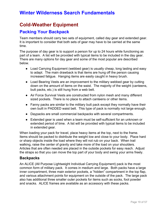# **Cold-Weather Equipment**

### **Packing Your Backpack**

Team members should carry two sets of equipment, called day gear and extended gear. It is important to consider that both sets of gear may have to be carried at the same time.

The purpose of day gear is to support a person for up to 24 hours while functioning as part of a team. A list will be provided with typical items to be included in the day gear. There are many options for day gear and some of the most popular are described below.

- Load Carrying Equipment (webbed gear) is usually cheap, long lasting and easy to adapt. The main drawback is that items are hung off the person causing increased fatigue. Hanging items are easily caught in heavy brush.
- Load Bearing Vests are an improvement to the military webbed gear by cutting down on the amount of items on the waist. The majority of the weight (canteens, butt packs, etc.) is still hung from a web belt.
- Air Force Survival Vests are constructed from nylon mesh and many different sized pockets. There is no place to attach canteens or other items.
- Fanny packs are similar to the military butt pack except they normally have their own built in PADDED waist belt. This type of pack is normally not large enough.
- Daypacks are small commercial backpacks with several compartments.
- Extended gear is used when a team must be self-sufficient for an unknown or extended period of time. A list will be provided with typical items to be included in extended gear.

When loading your pack for travel, place heavy items at the top, next to the frame. Items should be packed to distribute the weight low and close to your body. Place hard or sharp objects inside the load where they will not rub on your back. When trail walking, raise the center of gravity and take more of the load on your shoulders. Articles that are often needed are placed in the outside pockets for easy reach. Adjust the straps so that you can move the top part of your body and swing your arms freely.

#### **Backpacks**

An ALICE (All Purpose Lightweight Individual Carrying Equipment) pack is the most common form of military pack. It comes in medium and large. Both packs have a large inner compartment, three main exterior pockets, a "hidden" compartment in the top flap, and various attachment points for equipment on the outside of the pack. The large pack also has additional three smaller outer pockets for items such as socks, foot powder and snacks. ALICE frames are available as an accessory with these packs.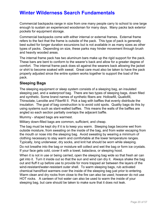Commercial backpacks range in size from one many people carry to school to one large enough to sustain an experienced woodsman for many days. Many packs lack exterior pockets for equipment storage.

Commercial backpacks come with either internal or external frames. External frame refers to the fact that the frame is outside of the pack. This type of pack is generally best suited for longer duration excursions but is not available in as many sizes as other types of packs. Depending on size, these parks may hinder movement through brush and heavily wooded areas.

The internal frame pack has two aluminum bars make up the rigid support for the pack. These bars are bent to conform to the wearer's back and allow for a greater degree of comfort. The internal frame pack does sit against the wearers back allowing the jacket or shirt to become soaked with sweat. Great care must also be taken to have the pack properly adjusted since the entire system works together to support the load of the pack.

#### **Sleeping Bags**

The sleeping equipment or sleep system consists of a sleeping bag, an insulated sleeping pad, and a waterproof bag. There are two types of sleeping bags, down filled and synthetic. Some brand names of synthetic fibers are: Hollowfill, Quallofill, Thinsolate, Lanolite and Fiberfill II. Pick a bag with baffles that evenly distribute the insulation. The goal of bag construction is to avoid cold spots. Quality bags do this by using systems such as slant-walled baffles. This means the walls of the baffles are angled so each section partially overlaps the adjacent baffle.

Mummy - shaped bags are warmest.

Military down-filled bags are common, sufficient, and cheap.

The bag must be kept dry if it is to keep you warm. Sleeping bags become wet from outside moisture, from sweating on the inside of the bag, and from water escaping from the mouth or nose into the sleeping bag. Avoid sweating by wearing a minimum of clothing necessary to stay warm and comfortable at the lower temperature ranges. Typically, long underwear, dry socks, and knit hat should be worn while sleeping.

Do not breathe into the bag or moisture will collect and wet the bag or form ice crystals. If your face gets cold, cover it with a towel, balaclava, or sleeping hood.

When it is not in use or being carried, open the sleeping bag wide so that fresh air can get into it. Turn it inside out so that the sun and wind can dry it. Always shake the bag out and fluff it up before use to provide for more trapped air between the layers of the wind-resistant/water-resistant outer shell. To warm sleeping bags, rub activated chemical hand/foot warmers over the inside of the sleeping bag just prior to entering. Warm clean and dry rocks from close to the fire can also be used; however do not use HOT rocks. A canteen of hot water can also be used to warm the inside of your sleeping bag, but care should be taken to make sure that it does not leak.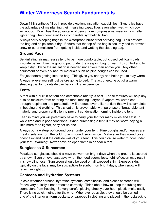Down fill & synthetic fill both provide excellent insulation capabilities. Synthetics have the advantage of maintaining their insulating capabilities even when wet, which down will not do. Down has the advantage of being more compressible, meaning a smaller, lighter bag when compared to a comparable synthetic fill bag.

Always carry sleeping bags in the waterproof, brushproof carrying bag. This protects the bag and helps keep it dry. Ensure that the top of the bag is securely tied to prevent snow or other moisture from getting inside and wetting the sleeping bag.

#### **Ground Pads**

Self-inflating air mattresses tend to be more comfortable, but closed cell foam pads insulate better. Use the ground pad under the sleeping bag for warmth, comfort and to keep it dry. Twice the insulation is needed under you than above you. Any other equipment or even dry natural materials such as pine boughs can be used. Eat just before getting into the bag. This gives you energy and helps you to stay warm. Always relieve yourself just before going to bed. The act of getting out of a warm

sleeping bag to go outside can be a chilling experience.

#### **Tents**

A tent with a built in bottom and detachable rain fly is best. These features will help any outside moisture from entering the tent, keeping it dryer. Evaporative water loss through respiration and perspiration will produce over a liter of fluid that will accumulate in bedding and clothing. This situation is preventable with purchase of breathable tent material and proper ventilation to prevent condensation forming inside the tent.

Keep in mind you will potentially have to carry your tent for many miles and set it up while tired and in poor conditions. When purchasing a tent, it may be worth paying a little more for a lighter, easy set up one.

Always put a waterproof ground cover under your tent. Pine boughs and/or leaves are great insulation from the cold frozen ground, snow or ice. Make sure the ground cover doesn't extend past the outside wall of your tent. This could cause water to pool under your tent. Warning: Never have an open flame in or near a tent.

#### **Sunglasses & Sunscreen**

Polarized sunglasses should always be worn on bright days when the ground is covered by snow. Even on overcast days when the need seems less, light reflection may result in snow blindness. Sunscreen should be used on all exposed skin. Exposed skin, typically on the face, may be susceptible to sunburn on bright days, when snow will reflect sunlight up.

#### **Canteens and Hydration Systems**

In cold weather personal hydration systems, camelbacks, and plastic canteens will freeze very quickly if not protected correctly. Think about how to keep the tubing and connectors from freezing. Be very careful placing directly over heat; plastic melts easily. There is no quick method for thawing. Whenever possible, they should be carried in one of the interior uniform pockets, or wrapped in clothing and placed in the rucksack to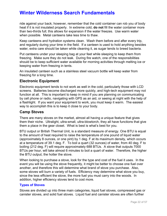ride against your back; however, remember that the cold container can rob you of body heat if it is not insulated properly. In extreme cold, **do not** fill the water container more than two-thirds full; this allows for expansion if the water freezes. Use warm water when possible. Metal canteens take less time to thaw.

Keep canteens and hydration systems clean. Wash them before and after every trip, and regularly during your time in the field. If a canteen is used to hold anything besides water, extra care should be taken while cleaning it, as sugar tends to breed bacteria.

Put canteens under your sleeping bag at your feet while sleeping to keep them from freezing. Make sure they do not leak. During fire watch, one of the responsibilities should be to keep sufficient water available for morning activities through melting ice or keeping water from freezing in tents.

An insulated canteen such as a stainless steel vacuum bottle will keep water from freezing for a long time.

#### **Electronic Equipment**

Electronic equipment tends to not work as well in the cold, particularly those with LCD screens. Batteries become discharged more quickly, and high-tech equipment may not function at all. This is important to keep in mind if you are planning on communicating by cell phone or radio, navigating with GPS as an aid, or seeing at night with the help of a flashlight. If you want your equipment to work, you must keep it warm. The easiest way to accomplish this is to keep it close to your body.

#### **Camp Stoves**

There are many stoves on the market, almost all having a unique feature that gives them their niche. Ultralight, ultra-small, ultra-blowtorch, they all have functions that give them a place in the gear closet. What is best is what's best for you.

BTU output or British Thermal Unit, is a standard measure of energy. One BTU is equal to the amount of heat required to raise the temperature of one pound of liquid water (approximately 8 ounces, or one pint) by 1 deg. F at its maximum density, which occurs at a temperature of 39.1 deg. F. To boil a quart (32 ounces) of water, from 40 deg. F to boiling (212 deg. F) will require approximately 688 BTUs. A stove that outputs 7000 BTUs per hour, will take almost 6 minutes to boil a quart of water. Therefore, the higher the BTU output, the hotter the stove.

When looking to purchase a stove, look for the type and cost of the fuel it uses. In the event you will be using the stove frequently, it might be better to choose one fuel over another, and therefore this will determine what brand of stove you purchase. Also, some stoves will burn a variety of fuels. Efficiency may determine what stove you buy, since the less efficient the stove, the more fuel you must carry into the woods. In addition, higher efficiency stoves tend to cost more.

#### **Types of Stoves**

Stoves are divided up into three main categories, liquid fuel stoves, compressed gas or canister stoves, and solid fuel stoves. Liquid fuel and canister stoves are often further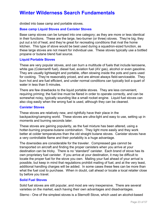divided into base camp and portable stoves.

#### **Base camp Liquid Stoves and Canister Stoves**

Base camp stoves can be lumped into one category; as they are more or less identical in their functions. These are the large, two-burner (or three) stoves. They're big, they put out a lot of heat, and they're great for recreating conditions that rival the home kitchen. This type of stove would be best used during a squadron-sized function, as these large stoves are not meant for individual use. These stoves typically use a bottled propane or butane blend fuel source.

#### **Liquid Portable Stoves**

These are very popular stoves, and can burn a multitude of fuels that include kerosene, white gas (Coleman® fuel), diesel fuel, aviation fuel (AV gas), alcohol or even gasoline. They are usually lightweight and portable, often stowing inside the pots and pans used for cooking. They're reasonably priced, and are almost always field-serviceable. They burn hot and are fuel efficient, and under normal conditions can typically boil a quart of water in less than 5 minutes.

There are few drawbacks to the liquid portable stoves. They are less convenient, requiring priming; the fuel line must be flared in order to operate correctly, and can be somewhat noisy, typically sounding like a small rocket engine. Liquid fuel stoves can also clog easily when the wrong fuel is used, although they can be cleaned.

#### **Canister Stoves**

These stoves are relatively new, and rightfully have their place in the backpacking/camping world. These stoves are ultra-light and easy to use, setting up in moments and burning seconds later.

These stoves are gaining popularity, as the fuel mixture has been altered, using a hotter-burning propane-butane combination. They light more easily and they work better at colder temperatures than the old straight butane stoves. Canister stoves have a very controllable flame and their portability is a huge advantage.

The downsides are considerable for the traveler. Compressed gas cannot be transported on aircraft and finding the proper canisters when you arrive at your destination can be tricky. There is no "standard" canister. Each brand of stove has its own proprietary fuel canister. If you arrive at your destination, it may be difficult to locate the proper fuel for the stove you own. Mailing your fuel ahead of your arrival is possible, but keep in mind that regulations prohibit mailing of fuel, and at the very least, additional handling charges will be added. In some cases these fees can be more than what the fuel cost to purchase. When in doubt, call ahead or locate a local retailer close by before you travel.

#### **Solid Fuel Stoves**

Solid fuel stoves are still popular, and most are very inexpensive. There are several varieties on the market, each having their own advantages and disadvantages.

Sterno - One of the simplest stoves is a Sterno® Stove, which used an alcohol-based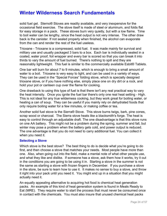solid fuel gel. Sterno® Stoves are readily available, and very inexpensive for the occasional field exercise. The stove itself is made of steel or aluminum, and folds flat for easy storage in a pack. These stoves burn very quietly, but with a low flame. Time to boil water can be lengthy, since the heat output is not very intense. The other draw back is the canister. If not sealed properly when finished, the alcohol can evaporate from the can and render the rest of the fuel useless.

Trioxane - Trioxane is a compressed, solid fuel. It was made mainly for survival and military use and usually packaged 3 bars to a box. Each bar is individually sealed in a coated, water proof, foil wrapper and every bar is scored so that you can break it into thirds to vary the amount of fuel burned. There's nothing to spill and they are reasonably lightweight. This fuel is similar to the commercially available Esbit® Tablets.

One bar will burn for about 7 to 9 minutes, which is enough to bring a small amount of water to a boil. Trioxane is very easy to light, and can be used in a variety of ways. They can be used in the "Special Forces" folding stove, which is specially designed trioxane stove, or if you have nothing else, simply place one on dry dirt or a rock, and hold your pot or canteen cup over the flame for cooking.

One drawback to using this type of fuel is that there isn't any real practical way to vary the heat intensity. Once you ignite the fuel bar there's only one real heat setting - High. This is not ideal for any true wilderness cooking, but they work great for boiling water, or heating a can of soup. They can be useful if you mainly rely on dehydrated foods that only require boiling water for a few minutes, or making coffee or tea.

Another solid fuel stove is the Sierra® Stove. This stove burns twigs, bark, pine cones, scrap wood or charcoal. The Sierra stove heats like a blacksmith's forge. The heat is easy to control through an adjustable draft. The one disadvantage is that this stove runs on one AA battery. This might not be a problem during the spring, summer and fall, but winter may pose a problem when the battery gets cold, and power output is reduced. The one advantage is that you do not need to carry additional fuel. You can collect it when you need it.

#### **Selecting a Stove**

Which stove is the best stove? The best thing to do is decide what you're going to do first, and then choose a stove that matches your needs. Most people have more than one. Also, when going out into the field, make a mental note of what other people use, and what they like and dislike. If someone has a stove, ask them how it works, try it out in the conditions you are going to be using it in. Starting a stove in the summer is not the same as starting a stove with frozen fingers in December. If you purchase a stove in the store, be sure to learn how to use it. It makes no sense to buy a stove, and throw it right into your pack until you need it. You might end up in a situation that you might actually need it.

An equally appealing alternative to acquiring hot food is chemical heat generation packs. An example of this kind of heat generation system is found in Meals Ready to Eat (MRE). They require water to start the process that must never be consumed once in contact with the chemicals. You must also insure that unused chemical heat packs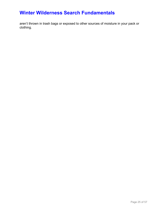aren't thrown in trash bags or exposed to other sources of moisture in your pack or clothing.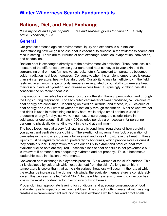# **Rations, Diet, and Heat Exchange**

"*I ate my boots and a pair of pants . . . tea and seal-skin gloves for dinner."* ∼ Greely, Arctic Expedition, 1883

### **General**

Our greatest defense against environmental injury and exposure is our intellect. Understanding how we gain or lose heat is essential to success in the wilderness search and rescue setting. There are four routes of heat exchange: radiation, evaporation, convection, and conduction.

Radiant heat is exchanged directly with the environment via emission. Thus, heat loss is a measure of the difference between your generated heat conveyed to your skin and the surrounding environment (air, snow, ice, rocks, etc.). As ambient temperatures becomes colder, radiation heat loss increases. Conversely, when the ambient temperature is greater than skin temperature, heat will be absorbed. Our ability to maintain efficiency in the field rests within a narrow range of body temperature regulated by our ability to generate heat, maintain our level of hydration, and release excess heat. Surprisingly, clothing has little consequence on radiant heat loss.

Evaporation or insensible loss of water occurs via the skin through perspiration and through the lungs during respiration. For each cubic centimeter of sweat produced, 575 calories of heat energy are consumed. Depending on exertion, altitude, and fitness, 2,300 calories of heat energy and 2 to 4 liters of water are lost daily through respiration. Most of what we eat and drink is used in maintaining our body heat, while only a small portion is used in producing energy for physical work. You must ensure adequate caloric intake in cold-weather operations. Estimate 4,000 calories per day are necessary for personnel performing physically demanding work in the cold at a minimum.

The body loses liquid at a very fast rate in arctic conditions, regardless of how carefully you adjust and ventilate your clothing. The exertion of movement on foot, preparation of campsites in the snow, etc., takes a toll in sweat and loss of moisture in the breath. These liquids must be regularly replaced, preferably by hot drinks, which provide extra calories if they contain sugar. Dehydration reduces our ability to extract and produce heat from available fuel so both are required. Insensible loss of heat and fluid is not preventable but is irrelevant if personnel are adequately hydrated and eat properly. Thus, it becomes a leadership issue in mission environments.

Convection heat exchange is a dynamic process. Air is warmed at the skin's surface. This air is displaced by colder air which extracts heat from the skin. As long as ambient temperature is cooler than that at the skin surface, heat loss will occur. If the rate at which the exchange increases, like during high winds, the equivalent temperature is considerably lower. This process is called "Wind Chill." In the wilderness environment, convection heat loss is the most important factor in exposure or hypothermia.

Proper clothing, appropriate layering for conditions, and adequate consumption of food and water greatly impact convection heat loss. The correct clothing material with layering creates a micro-environment reducing the heat exchange while outer wind proof shells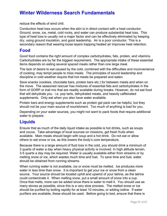reduce the effects of wind chill.

Conduction heat loss occurs when the skin is in direct contact with a heat conductor. Ground, snow, ice, metal, cold rocks, and water can produce substantial heat loss. This type of heat loss is usually not a major factor and can be effectively eliminated by keeping dry, using ground insulation, and good leadership. Air is a poor conductor. This is a secondary reason that wearing loose layers trapping heated air improves heat retention.

### **Food**

Good food contains the right amount of complex carbohydrates, fats, protein, and vitamins. Carbohydrates are by far the biggest requirement. The appropriate intake of these essential items depends on eating several spaced meals rather than one large meal.

The lack of desire to eat caused by the cold, combined with the difficulties and inconvenience of cooking, may tempt people to miss meals. The principles of sound leadership and discipline in cold weather require that hot meals be prepared and eaten.

Save snacks (cookies, chocolate bars, protein bars etc.) for between meals and when on the move. The seasoned rescuer has mixtures of essential fats and carbohydrates in the form of GORP or trail mix that are readily available during breaks. However, do not eat food that will dehydrate you. i.e. pop tarts, dehydrated meats, and heavily caffeinated supplements. Only eat when you also have water available.

Protein bars and energy supplements such as protein gel pack can be helpful, but they should not be your main source of nourishment. Too much of anything is bad for you.

Depending on your water sources, you might not want to pack foods that require additional water to prepare.

### **Liquids**

Ensure that as much of the daily liquid intake as possible is hot drinks, such as soups and cocoa. Take advantage of local sources on missions, get fresh fruits when available. Main meals should begin with soup and a hot drink. Do not eat or allow others to eat snow or ice, as this lowers the body's core temperature.

Because there is a large amount of fluid loss in the cold, you should drink a minimum of 3 quarts of water a day when heavy physical activity is involved. In high altitude terrain, 3-5 quarts a day may be required. Water is usually available either from streams or by melting snow or ice, which wastes much time and fuel. To save time and fuel, water should be obtained from running streams.

When running water is not available, ice or snow must be melted. Ice produces more water in less time than snow. It is important to get your ice or snow from a clean source. Your source should be located uphill and upwind of your latrine, as the latrine could contaminate it. When melting snow, put a small amount of snow into a cup. Once that melts, more can be added since there is water to melt it. You should use as many stoves as possible, since this is a very slow process. The melted snow or ice should be purified by boiling rapidly for at least 10 minutes, or adding iodine. If water purifiers are available, these should be used. Before going to bed, ensure that there is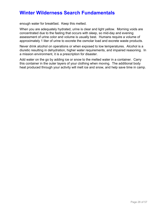enough water for breakfast. Keep this melted.

When you are adequately hydrated, urine is clear and light yellow. Morning voids are concentrated due to the fasting that occurs with sleep, so mid-day and evening assessment of urine color and volume is usually best. Humans require a volume of approximately 1 liter of urine to excrete the osmolar load and excrete waste products.

Never drink alcohol on operations or when exposed to low temperatures. Alcohol is a diuretic resulting in dehydration, higher water requirements, and impaired reasoning. In a mission environment, it is a prescription for disaster.

Add water on the go by adding ice or snow to the melted water in a container. Carry this container in the outer layers of your clothing when moving. The additional body heat produced through your activity will melt ice and snow, and help save time in camp.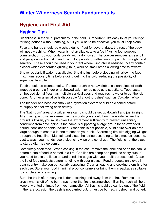### **Hygiene and First Aid**

### **Hygiene Tips**

Cleanliness in the field, particularly in the cold, is important. It's easy to let yourself go for long periods without bathing, but if you wish to be effective, you must keep clean.

Face and hands should be washed daily. If out for several days, the rest of the body will need washing. When water is not available, take a "bath" using foot powder, cornstarch, or rub your body briskly with a dry towel. The powder removes excess oil and perspiration from skin and hair. Body wash towlettes are compact, lightweight, and sanitary. These should be used in your tent where wind chill is reduced. Many contain alcohol which evaporates quickly; thus, work on small areas allowing time to rewarm.

Shave regularly if water is available. Shaving just before sleeping will allow the face maximum recovery time before going out into the cold, reducing the possibility of superficial frostbite.

Teeth should be cleaned daily. If a toothbrush is not available, a clean piece of cloth wrapped around a finger or a chewed twig may be used as a substitute. Toothpaste embedded dental floss has multiple survival uses and requires no water to get the job done. Another alternative is disposable "dry toothbrushes" such as Colgate , Wisp.

The bladder and hose assembly of a hydration system should be cleaned before re-supply and following each activity.

The "bathroom" area of a wilderness camp should be set up downhill and just in sight. After having a bowel movement in the woods you should bury the waste. When the ground is frozen, you must cover the excrement sufficiently to prevent unsanitary conditions from developing. If the camp is supporting a large group for an extended period, consider portable facilities. When this is not possible, build a fire over an area large enough to create a latrine to support your unit. Alternating fire with digging will get through the frost line. Maintain and close the latrine according to field medical doctrine. Lastly, wash your hands, use a cleansing wipe or alcohol gel. The field is not the place to start a diarrhea epidemic.

Completely cook food. When cooking in the can, remove the label and open the can lid before a can of food is heated in a fire. Can lids are sharp and produce nasty cuts. If you need to use the lid as a handle, roll the edges with your multi-purpose tool. Clean the lid of food products before handling with your gloves. Food products on gloves in bear country make you particularly appealing. Clean all eating and cooking utensils after each use. Store your food in animal proof containers or bring them in packages suitable to complete in one sitting.

Burn the trash after everyone is done cooking and away from the fire. Remove and crush what is left of the burnt trash after the fire is extinguished. Burning trash will help keep unwanted animals from your campsite. All trash should be carried out of the field. In the rare occasion the trash is not carried out, it must be burned, crushed, and buried.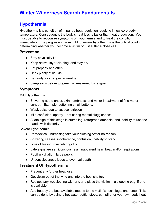### **Hypothermia**

Hypothermia is a condition of impaired heat regulation resulting in low core body temperature. Consequently, the body's heat loss is faster than heat production. You must be able to recognize symptoms of hypothermia and to treat the condition immediately. The progression from mild to severe hypothermia is the critical point in determining whether you become a victim or just suffer a close call.

#### **Prevention**

- Stay physically fit
- Keep active, layer clothing, and stay dry
- Eat properly and often.
- Drink plenty of liquids
- Be ready for changes in weather.
- Sleep early before judgment is weakened by fatigue.

#### **Symptoms**

Mild Hypothermia

- Shivering at the onset, skin numbness, and minor impairment of fine motor control. Example: buttoning small buttons.
- Weak pulse due to vasoconstriction
- Mild confusion, apathy not caring mental sluggishness.
- A late sign of this stage is stumbling, retrograde amnesia, and inability to use the hands with dexterity

Severe Hypothermia

- Paradoxical undressing take your clothing off for no reason
- Shivering ceases, incoherence, confusion, inability to stand.
- Loss of feeling, muscular rigidity
- Late signs are semiconciousness, inapparent heart beat and/or respirations
- Pupillary dilation large pupils
- Unconsciousness leads to eventual death

#### **Treatment Of Hypothermia**

- Prevent any further heat loss.
- Get victim out of the wind and into the best shelter.
- Replace any wet clothing with dry, and place the victim in a sleeping bag, if one is available.
- Add heat by the best available means to the victim's neck, legs, and torso. This can be done by using a hot water bottle, stove, campfire, or your own body heat.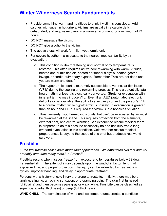- Provide something warm and nutritious to drink if victim is conscious. Add calories with sugar in hot drinks. Victims are usually in a calorie deficit, dehydrated, and require recovery in a warm environment for a minimum of 24 hours.
- DO NOT massage the victim.
- DO NOT give alcohol to the victim.
- The above steps will work for mild hypothermia only
- For severe hypothermia-evacuate to the nearest medical facility by air evacuation.
	- o This condition is life- threatening until normal body temperature is restored. This often requires active core rewarming with warm IV fluids, heated and humidified air, heated peritoneal dialysis, heated gastric lavage, or cardio-pulmonary bypass. Remember-"You are not dead until you are warm and dead"
	- o The hypothermic heart is extremely susceptible to ventricular fibrillation (VFib) during the cooling and rewarming process. This is a potentially fatal heart rhythm unless it is electrically converted. Stretcher evacuation with inherent jarring may induce Vfib. Even if an AED (automated electronic defibrillator) is available, the ability to effectively convert the person's Vfib to a normal rhythm while hypothermic is unlikely. If evacuation is greater than an hour and CPR is required the victim is in a hopeless situation.
	- o Thus, severely hypothermic individuals that can't be evacuated by air must be rewarmed at the scene. This requires protection from the elements, external heat, and central warming. An experience rescue medical team is prepared to do this because essentially no one has survived a long overland evacuation in this condition. Cold weather rescue medical preparedness is beyond the scope of this brief but produces real world survivors.

### **Frostbite**

*"...the first frostbite cases have made their appearance. We amputated two feet and will probably amputate many more."* ∼ Amosoff

Frostbite results when tissues freeze from exposure to temperatures below 32 deg. Fahrenheit (F). The extent of injury depends upon the wind-chill factor, length of exposure time, and proper protection. The injury can be extended by freeze-thaw cycles, improper handling, and delay in appropriate treatment.

Persons with a history of cold injury are prone to frostbite. Initially, there may be a tingling, stinging, an aching sensation, or a cramping pain. The skin first turns red (chilblains) and then becomes pale gray or waxy white. Frostbite can be classified as superficial (partial thickness) or deep (full thickness).

**WIND CHILL -** The combination of wind and low temperatures creates a condition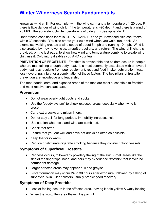known as wind chill. For example, with the wind calm and a temperature of –20 deg. F there is little danger of wind chill. If the temperature is –20 deg. F and there is a wind of 20 MPH, the equivalent chill temperature is –48 deg. F. (See appendix 1)

Under these conditions there is GREAT DANGER and your exposed skin can freeze within 30 seconds. You also create your own wind when you walk, run, or ski. As examples, walking creates a wind speed of about 5 mph and running 10 mph. Wind is also created by moving vehicles, aircraft propellers, and rotors. The wind-chill chart is provided, on the last page, to show how wind and temperature combine to create wind chill; use it. Cold injury disables you AND your team.

**PREVENTION OF FROSTBITE -** Frostbite is preventable and seldom occurs in people who are maintaining enough body heat. It is most commonly associated with an overall body heat loss resulting from poor equipment, reduced food intake, dehydration (water loss), overtiring, injury, or a combination of these factors. The two pillars of frostbite prevention are knowledge and leadership.

The feet, hands, ears, and exposed areas of the face are most susceptible to frostbite and must receive constant care.

#### **Prevention**

- Do not wear overly tight boots and socks.
- Use the "buddy system" to check exposed areas, especially when wind is present.
- Carry extra socks and mitten liners.
- Do not stay still for long periods. Immobility increases risk.
- Use caution when cold and wind are combined.
- Check feet often.
- Ensure that you eat well and have hot drinks as often as possible.
- Keep the torso warm
- Reduce or eliminate cigarette smoking because they constrict blood vessels

#### **Symptoms of Superficial Frostbite**

- Redness occurs, followed by powdery flaking of the skin. Small areas like the skin of the finger tips, nose, and ears may experience "frostnip" that leaves no permanent damage.
- Larger affected areas may appear dull and grayish.
- Blister formation may occur 24 to 30 hours after exposure, followed by flaking of superficial skin. Clear blisters usually predict good recovery

#### **Symptoms of Deep Frostbite**

- Loss of feeling occurs in the affected area, leaving it pale yellow & waxy looking.
- When the frostbitten area thaws, it is painful.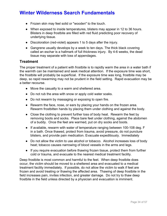- Frozen skin may feel solid or "wooden" to the touch.
- When exposed to inside temperatures, blisters may appear in 12 to 36 hours. Blisters in deep frostbite are filled with red fluid predicting poor recovery of underlying tissue.
- Discoloration (red-violet) appears 1 to 5 days after the injury.
- Gangrene usually develops by a week to ten days. The thick black covering called an eschar is a hallmark of full thickness injury. By 4-6 weeks, the dead tissue may separate with loss of appendages.

#### **Treatment**

The proper treatment of a patient with frostbite is to rapidly warm the area in a water bath if the warmth can be maintained and seek medical attention. If the exposure time was short, the frostbite will probably be superficial. If the exposure time was long, frostbite may be deep, so rapid rewarming may not be prudent in the field setting. Rapid evacuation may be a better recourse.

- Move the casualty to a warm and sheltered area.
- Do not rub the area with snow or apply cold water soaks.
- Do not rewarm by massaging or exposing to open fire.
- Rewarm the face, nose, or ears by placing your hands on the frozen area. Rewarm frostbitten hands by placing them under clothing and against the body.
- Close the clothing to prevent further loss of body heat. Rewarm the feet by removing boots and socks. Place bare feet under clothing, against the abdomen of a buddy. Once the feet are warmed, put on dry socks and boots.
- If available, rewarm with water of temperature ranging between 100-108 deg. F in a bath. Once thawed, protect from trauma, avoid pressure, do not puncture blisters, and provide pain medication. Evacuate expeditiously. Immediately
- Do not allow the victim to use alcohol or tobacco. Alcohol increases loss of body heat; tobacco causes narrowing of blood vessels in the arms and legs.
- If you require evacuation before thawing frozen tissue, protect them from further cold or trauma, and evacuate to the nearest medical treatment facility.

Deep frostbite is most common and harmful to the feet. When deep frostbite does occur, the victim should be moved to a sheltered area and evacuated to a medical treatment facility immediately. If possible, do not allow the victim to walk if feet are frozen and avoid treating or thawing the affected area. Thawing of deep frostbite in the field increases pain, invites infection, and greater damage. Do not try to thaw deep frostbite in the field unless directed by a physician and evacuation is imminent.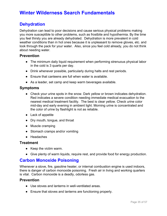### **Dehydration**

Dehydration can lead to poor decisions and cause serious physical problems making you more susceptible to other problems, such as frostbite and hypothermia. By the time you feel thirsty you are already dehydrated. Dehydration is more prevalent in cold weather conditions than in hot ones because it is unpleasant to remove gloves, etc. and look through the pack for your water. Also, since you feel cold already, you do not think about needing water.

#### **Prevention**

- The minimum daily liquid requirement when performing strenuous physical labor in the cold is 3 quarts per day.
- Drink whenever possible, particularly during halts and rest periods.
- Ensure that canteens are full when water is available.
- As a leader, set camp and keep warm beverages available.

#### **Symptoms**

- Check your urine spots in the snow. Dark yellow or brown indicates dehydration. Red indicates a severe condition needing immediate medical evacuation to the nearest medical treatment facility. The best is clear yellow. Check urine color mid-day and early evening in ambient light. Morning urine is concentrated and the color of urine by flashlight is not as reliable.
- Lack of appetite
- Dry mouth, tongue, and throat
- Muscle cramping
- Stomach cramps and/or vomiting
- Headaches

#### **Treatment**

- Keep the victim warm.
- Give plenty of warm liquids, require rest, and provide food for energy production.

### **Carbon Monoxide Poisoning**

Whenever a stove, fire, gasoline heater, or internal combustion engine is used indoors, there is danger of carbon monoxide poisoning. Fresh air in living and working quarters is vital. Carbon monoxide is a deadly, odorless gas.

#### **Prevention**

- Use stoves and lanterns in well-ventilated areas.
- Ensure that stoves and lanterns are functioning properly.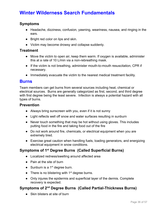#### **Symptoms**

- Headache, dizziness, confusion, yawning, weariness, nausea, and ringing in the ears.
- Bright red color on lips and skin.
- Victim may become drowsy and collapse suddenly.

#### **Treatment**

- Move the victim to open air, keep them warm. If oxygen is available, administer this at a rate of 10 L/min via a non-rebreathing mask.
- If the victim is not breathing, administer mouth-to-mouth resuscitation, CPR if necessary.
- Immediately evacuate the victim to the nearest medical treatment facility.

#### **Burns**

Team members can get burns from several sources including heat, chemical or electrical sources. Burns are generally categorized as first, second, and third degree with first degree being the least severe. Infection is always a potential hazard with all types of burns.

#### **Prevention**

- Always bring sunscreen with you, even if it is not sunny
- Light reflects well off snow and water surfaces resulting in sunburn
- Never touch something that may be hot without using gloves. This includes putting food in the fire and taking food out of the fire
- Do not work around fire, chemicals, or electrical equipment when you are extremely tired.
- Exercise great caution when handling fuels, loading generators, and energizing electrical equipment in snow conditions.

### **Symptoms of 1 st Degree Burns (Called Superficial Burns)**

- Localized redness/swelling around affected area
- Pain at the site of burn
- Sunburn is a  $1<sup>st</sup>$  degree burn.
- There is no blistering with  $1<sup>st</sup>$  degree burns.
- Only injures the epidermis and superficial layer of the dermis. Complete recovery is expected.

### **Symptoms of 2 nd Degree Burns (Called Partial-Thickness Burns)**

● Skin blisters at site of burn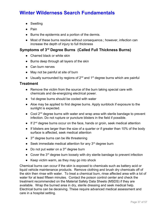- Swelling
- Pain
- Burns the epidermis and a portion of the dermis.
- Most of these burns resolve without consequence.; however, infection can increase the depth of injury to full thickness

### **Symptoms of 3 rd Degree Burns (Called Full Thickness Burns)**

- Charred black or white skin
- Burns deep through all layers of the skin
- Can burn nerves
- May not be painful at site of burn
- Usually surrounded by regions of  $2^{nd}$  and  $1^{st}$  degree burns which are painful

#### **Treatment**

- Remove the victim from the source of the burn taking special care with chemicals and de-energizing electrical power.
- 1st degree burns should be cooled with water
- Aloe may be applied to first degree burns. Apply sunblock if exposure to the sunlight is expected.
- Cool 2<sup>nd</sup> degree burns with water and wrap area with sterile bandage to prevent infection. Do not rupture or puncture blisters in the field if possible.
- $\bullet$  If 2<sup>nd</sup> degree burns occur on the face, hands or groin, seek medical attention
- If blisters are larger than the size of a quarter or if greater than 10% of the body surface is affected, seek medical attention
- 3<sup>rd</sup> degree burns can be life threatening
- $\bullet$  Seek immediate medical attention for any  $3^{rd}$  degree burn
- $\bullet$  Do not put water on a 3<sup>rd</sup> degree burn
- Cover the 3<sup>rd</sup> degree burn loosely with dry sterile bandage to prevent infection
- Keep victim warm, as they may go into shock

Chemical burns can occur if the skin is exposed to chemicals such as battery acid or liquid vehicle maintenance products. Remove clothing and brush dry chemicals off of the skin then rinse with water. To treat a chemical burn, rinse affected area with a lot of water for at least fifteen minutes. Contact the poison control center and check the treatment recommended on the Material Safety Data Sheets (MSDS) if they are available. Wrap the burned area in dry, sterile dressing and seek medical help. Electrical burns can be deceiving. These require advanced medical assessment and care in a hospital setting.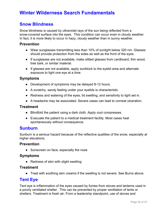### **Snow Blindness**

Snow blindness is caused by ultraviolet rays of the sun being reflected from a snow-covered surface into the eyes. This condition can occur even in cloudy weather. In fact, it is more likely to occur in hazy, cloudy weather than in sunny weather.

#### **Prevention**

- Wear sunglasses transmitting less than 10% of sunlight below 320 nm. Glasses should provide protection from the sides as well as the front of the eyes.
- If sunglasses are not available, make slitted glasses from cardboard, thin wood, tree bark, or similar material.
- If glasses are not available, apply sunblock to the eyelid area and alternate exposure to light one eye at a time.

#### **Symptoms**

- Development of symptoms may be delayed 8-12 hours.
- A scratchy, sandy feeling under your eyelids is characteristic.
- Redness and watering of the eyes, lid swelling, and sensitivity to light set in.
- A headache may be associated. Severe cases can lead to corneal ulceration.

#### **Treatment**

- Blindfold the patient using a dark cloth. Apply cool compresses.
- Evacuate the patient to a medical treatment facility. Most cases heal spontaneously without consequence.

#### **Sunburn**

Sunburn is a serious hazard because of the reflective qualities of the snow, especially at higher elevations.

#### **Prevention**

• Sunscreen on face, especially the nose

#### **Symptoms**

• Redness of skin with slight swelling

#### **Treatment**

● Treat with soothing skin creams if the swelling is not severe. See Burns above.

### **Tent Eye**

Tent eye is inflammation of the eyes caused by fumes from stoves and lanterns used in a poorly ventilated shelter. This can be prevented by proper ventilation of tents or shelters. Treatment is fresh air. From a leadership standpoint, use of stoves and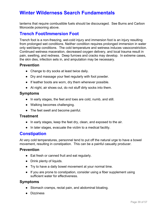lanterns that require combustible fuels should be discouraged. See Burns and Carbon Monoxide poisoning above.

### **Trench Foot/Immersion Foot**

Trench foot is a non-freezing, wet-cold injury and immersion foot is an injury resulting from prolonged wet conditions. Neither condition requires prolonged immersion in water only wet/damp conditions. The cold temperature and wetness induces vasoconstriction. Continued wetness maceration, decreased oxygen delivery, and local trauma result in pain, swelling, and redness. Deep furrows and cracks may develop. In extreme cases, the skin dies, infection sets in, and amputation may be necessary.

#### **Prevention**

- Change to dry socks at least twice daily.
- Dry and massage your feet regularly with foot powder.
- If leather boots are worn, dry them whenever possible.
- At night, air shoes out, do not stuff dirty socks into them.

#### **Symptoms**

- In early stages, the feet and toes are cold, numb, and still.
- Walking becomes challenging.
- The feet swell and become painful.

#### **Treatment**

- In early stages, keep the feet dry, clean, and exposed to the air.
- In later stages, evacuate the victim to a medical facility.

### **Constipation**

At very cold temperatures, personnel tend to put off the natural urge to have a bowel movement, resulting in constipation. This can be a painful casualty producer.

#### **Prevention**

- Eat fresh or canned fruit and eat regularly.
- Drink plenty of liquids.
- Try to have a daily bowel movement at your normal time.
- If you are prone to constipation, consider using a fiber supplement using sufficient water for effectiveness.

#### **Symptoms**

- Stomach cramps, rectal pain, and abdominal bloating.
- Dizziness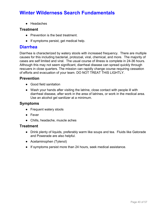● Headaches

#### **Treatment**

- Prevention is the best treatment.
- If symptoms persist, get medical help.

### **Diarrhea**

Diarrhea is characterized by watery stools with increased frequency. There are multiple causes for this including bacterial, protozoal, viral, chemical, and more. The majority of cases are self limited and viral. The usual course of illness is complete in 24-36 hours. Although this may not seem significant, diarrheal disease can spread quickly through rescuers in close quarters. The mission can rapidly change course requiring cessation of efforts and evacuation of your team. DO NOT TREAT THIS LIGHTLY.

#### **Prevention**

- Good field sanitation
- Wash your hands after visiting the latrine, close contact with people ill with diarrheal disease, after work in the area of latrines, or work in the medical area. Use an alcohol gel sanitizer at a minimum.

#### **Symptoms**

- Frequent watery stools
- Fever
- Chills, headache, muscle aches

#### **Treatment**

- Drink plenty of liquids, preferably warm like soups and tea. Fluids like Gatorade and Powerade are also helpful.
- Acetaminophen (Tylenol)
- If symptoms persist more than 24 hours, seek medical assistance.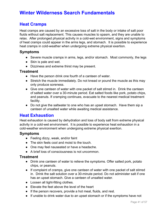### **Heat Cramps**

Heat cramps are caused by an excessive loss of salt in the body or intake of salt poor fluids without salt replacement. This causes muscles to spasm, and they are unable to relax. After prolonged physical activity in a cold-wet environment, signs and symptoms of heat cramps could appear in the arms legs, and stomach. It is possible to experience heat cramps in cold-weather when undergoing extreme physical exertion.

#### **Symptoms**

- Severe muscle cramps in arms, legs, and/or stomach. Most commonly, the legs
- Skin is pale and wet.
- Dizziness and extreme thirst may be present.

#### **Treatment**

- Have the person drink one fourth of a canteen of water.
- Stretch the muscle immediately. Do not knead or pound the muscle as this may only produce soreness.
- Give one canteen of water with one packet of salt stirred in. Drink the canteen of salted water over a 30-minute period. Eat salted foods like pork, potato chips, and peanuts. If cramping continues, evacuate to the nearest medical treatment facility.
- Do not give the saltwater to one who has an upset stomach. Have them sip a canteen of unsalted water while awaiting medical assistance.

### **Heat Exhaustion**

Heat exhaustion is caused by dehydration and loss of body salt from extreme physical activity in a cold-wet environment. It is possible to experience heat exhaustion in a cold-weather environment when undergoing extreme physical exertion.

#### **Symptoms**

- Feeling dizzy, weak, and/or faint
- The skin feels cool and moist to the touch.
- One may feel nauseated or have a headache.
- A brief loss of consciousness is not uncommon.

#### **Treatment**

- Drink one canteen of water to relieve the symptoms. Offer salted pork, potato chips, or peanuts.
- If complaint of cramps, give one canteen of water with one packet of salt stirred in. Drink the salt solution over a 30-minute period. Do not administer salt if one has an upset stomach. Give a canteen of unsalted water.
- Loosen all tight-fitting clothes.
- Elevate the feet above the level of the heart
- If the person recovers, provide a hot meal, fluids, and rest.
- If unable to drink water due to an upset stomach or if the symptoms have not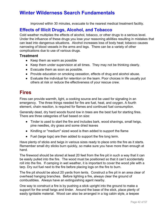improved within 30 minutes, evacuate to the nearest medical treatment facility.

### **Effects of Illicit Drugs, Alcohol, and Tobacco**

Cold weather multiplies the effects of alcohol, tobacco, or other drugs to a serious level. Under the influence of these drugs you lose your reasoning abilities resulting in mistakes that can lead into dangerous situations. Alcohol increases loss of body heat; tobacco causes narrowing of blood vessels in the arms and legs. There can be a variety of other complications due to use of various drugs.

#### **Treatment**

- Keep them as warm as possible
- Keep them under supervision at all times. They may not be thinking clearly.
- Evacuate them as soon as possible.
- Provide education on smoking cessation, effects of drug and alcohol abuse.
- Evaluate the individual for retention on the team. Poor choices in life usually put others at risk or reduce the effectiveness of your rescue crew.

### **Fires**

Fires can provide warmth, light, a cooking source and be used for signaling in an emergency. The three things needed for fire are fuel, heat, and oxygen. A fourth element, chain reaction, is required for flames and continued fuel consumption.

Generally dead, dry hard woods found low in trees are the best fuel for starting fires. There are three categories of fuel based on size:

- Tinder is used to start the fire and includes bark, wood shavings, small twigs, pine needles, dry grass and some dried leaves
- Kindling or "medium" sized wood is then added to support the flame
- Fuel (large logs) are then added to support the fire long term.

Have plenty of sticks and twigs in various sizes ready to place onto the fire as it starts. Remember small dry sticks burn quickly, so make sure you have more than enough at hand.

The firewood should be stored at least 20 feet from the fire pit in such a way that it can be easily pulled into the fire. The wood must be positioned so that it can't accidentally roll into the fire. If camping in wet weather, it is important to cover the wood pile with a tarp. Dry out fuel next to the fire before placing logs on the fire to burn.

The fire pit should be about 20 yards from tents. Construct a fire pit in an area clear of overhead hanging branches. Before lighting a fire, always clear the ground of combustibles. Always have an extinguishing agent nearby.

One way to construct a fire is by pushing a stick upright into the ground to make a support for the small twigs and tinder. Around the base of the stick, place plenty of easily ignitable material. Wood can also be arranged in a log cabin style, a teepee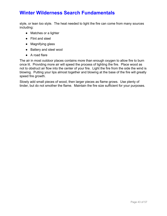style, or lean too style. The heat needed to light the fire can come from many sources including:

- Matches or a lighter
- Flint and steel
- Magnifying glass
- Battery and steel wool
- A road flare

The air in most outdoor places contains more than enough oxygen to allow fire to burn once lit. Providing more air will speed the process of lighting the fire. Place wood as not to obstruct air flow into the center of your fire. Light the fire from the side the wind is blowing. Putting your lips almost together and blowing at the base of the fire will greatly speed fire growth.

Slowly add small pieces of wood, then larger pieces as flame grows. Use plenty of tinder, but do not smother the flame. Maintain the fire size sufficient for your purposes.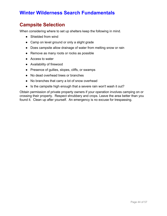# **Campsite Selection**

When considering where to set up shelters keep the following in mind.

- Shielded from wind
- Camp on level ground or only a slight grade
- Does campsite allow drainage of water from melting snow or rain
- Remove as many roots or rocks as possible
- Access to water
- Availability of firewood
- Presence of gullies, slopes, cliffs, or swamps
- No dead overhead trees or branches
- No branches that carry a lot of snow overhead
- Is the campsite high enough that a severe rain won't wash it out?

Obtain permission of private property owners if your operation involves camping on or crossing their property. Respect shrubbery and crops. Leave the area better than you found it. Clean up after yourself. An emergency is no excuse for trespassing.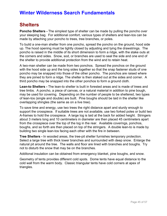### **Shelters**

**Poncho Shelters -** The simplest type of shelter can be made by pulling the poncho over your sleeping bag. For additional comfort, various types of shelters and lean-tos can be made by attaching your poncho to trees, tree branches, or poles.

To build a one-man shelter from one poncho, spread the poncho on the ground, hood side up. The hood opening must be tightly closed by adjusting and tying the drawstrings. The poncho is raised in the middle of its short dimension to form a ridge, with the stake outs at the corners and sides. Snow, sod, or branches are used to seal the side and one end of the shelter to provide additional protection from the wind and to retain heat.

A two-man shelter can be made from two ponchos. Spread the ponchos on the ground with the hood side up and the long sides together so that the snap fastener studs of one poncho may be snapped into those of the other poncho. The ponchos are raised where they are joined to form a ridge. The shelter is then staked out at the sides and corner. A third poncho may be snapped into the other ponchos to form a ground cloth.

**Lean-to Shelters -** The lean-to shelter is built in forested areas and is made of trees and tree limbs. A poncho, a piece of canvas, or a natural material in addition to pine bough, may be used for covering. Depending on the number of people to be sheltered, two types of lean-tos (single and double) are built. Pine boughs should be laid in the shelter like overlapping shingles (the same as on a live tree).

To save time and energy, use two trees the right distance apart and sturdy enough to support the crosspiece. If suitable trees are not available, use two forked poles or build two A-frames to hold the crosspiece. A large log is laid at the back for added height. Stringers about 3 meters long and 10 centimeters in diameter are then placed 45 centimeters apart from the crosspiece over the top of the log in the rear. Available coverings, ponchos, boughs, and so forth are then placed on top of the stringers. A double lean-to is made by building two single lean-tos facing each other with the fire in between.

**Tree Shelters -** In wooded areas, the tree-pit shelter furnishes temporary protection. Select a large tree with thick lower branches and surrounded with deep snow. Enlarge the natural pit around the tree. The walls and floor are lined with branches and boughs. Try not to disturb the snow that may be on the branches.

Additonal insulation can be obtained from emergency blanket, pine boughs, and snow.

Geometry of tents provides different cold spots. Dome tents have equal distance to the cold wall from the warm body. Classic triangular tents have cold corners at apex of triangles.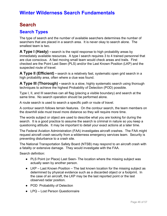# **Search**

### **Search Types**

The type of search and the number of available searchers determines the number of searchers that are placed in a search area. It is never okay to search alone. The smallest team is two.

**A Type I (Hasty) -** search is the rapid response to high probability areas by immediately available resources. A type I search requires 3 to 4 trained personnel that are clue conscious. A fast moving small team would check areas and trails. First checked are the Point Last Seen (PLS) and/or the Last Known Position (LKP) and the suspected route of travel.

**A Type II (Efficient) -** search is a relatively fast, systematic open grid search in a high probability area, often where a clue was found.

**A Type III (Thorough) -** search is a slow, highly systematic search using thorough techniques to achieve the highest Probability of Detection (POD) possible.

Type I, II, and III searches can all flag (placing a visible boundary) and search at the same time. No search operation should be performed alone.

A route search is used to search a specific path or route of travel.

A contour search follows terrain features. On the contour search, the team members on the downhill side must travel more distance so they will require more time.

The words subject or object are used to describe what you are looking for during the search. It is a good practice to assume the search is criminal in nature so you keep a questioning attitude. It may be important to detail your exact actions at a later time.

The Federal Aviation Administration (FAA) investigates aircraft crashes. The FAA might request aircraft crash security from a wilderness emergency services team. Security is preventing disturbance to a crash site.

The National Transportation Safety Board (NTSB) may respond to an aircraft crash with a fatality or extensive damage. They would investigate with the FAA.

Search definition:

- PLS Point (or Place) Last Seen- The location where the missing subject was actually seen by another person.
- $\bullet$  LKP Last Known Position The last known location for the missing subject as determined by physical evidence such as a discarded object or a footprint. In the case of an aircraft, the LKP may be the last reported point or the last observed radar position.
- POD Probability of Detection
- LPQ Lost Person Questionnaire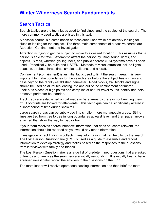### **Search Tactics**

Search tactics are the techniques used to find clues, and the subject of the search. The more commonly used tactics are listed in this text.

A passive search is a combination of techniques used while not actively looking for clues or looking for the subject. The three main components of a passive search are Attraction, Confinement and Investigation.

Attraction is trying to get the subject to move to a desired location. This assumes that a person is able to travel. Attempt to attract the person by using sound, lights, and objects. Sirens, whistles, yelling, bells, and public address (PA) systems have all been used. Periodically, be quite and LISTEN. Methods of visual attraction include lights, beacons, strobes, flares, fires, smoke, balloons, and aircraft.

Confinement (containment) is an initial tactic used to limit the search area. It is very important to make boundaries for the search area before the subject has a chance to pass beyond the rapidly established perimeter. Road blocks, trail blocks and signs should be used on all routes leading into and out of the confinement perimeter. Look-outs placed at high points and camp-ins at natural travel routes identify and help preserve perimeter boundaries.

Track traps are established on dirt roads or bare areas by dragging or brushing them off. Footprints are looked for afterwards. This technique can be significantly altered in a short period of time during snow fall.

Large search areas can be subdivided into smaller, more manageable areas. String lines are tied from tree to tree in long boundaries at waist level, and then paper arrows attached that show the way to road or trail.

If your team receives search interview information that does not seem relevant, the information should be reported as you would any other information.

Investigation or fact finding is collecting any information that can help focus the search. The Lost Person Questionnaire (LPQ) is used as a guide to assemble and record information to develop strategy and tactics based on the responses to the questions from interviews with family and friends.

The Lost Person Questionnaire is a large list of predetermined questions that are asked of friends and family as the searchers are initially responding. It is usually best to have a trained investigator record the answers to the questions on the LPQ.

The team leader will receive operational tasking information and then brief the team.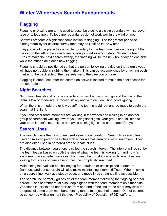### **Flagging**

Flagging or blazing are terms used to describe placing a visible boundary with surveyor tape or toilet paper. Toilet paper boundaries do not work well in the wind or wet.

Snowfall presents a significant complication to flagging. The far greater period of biodegradability for colorful survey tape may be justified in the winter.

Flagging would be placed as a visible boundary by the team member on the right if the person on the left of the search line is using a road as a boundary. When the team turns to make the next search sweep, the flagging will be the new boundary on one side while the other side places new flagging.

Flagging should be positioned so that the person following the flag on the return sweep will have no trouble in sighting the marker. This can be accomplished by attaching each marker to the back side of the tree, relative to the direction of travel.

Flagging is often used after the search objective is located to make the best access for transportation.

### **Night Searches**

Night searches should only be considered when the payoff is high and the risk to the team is low or moderate. Proceed slowly and with caution using good lighting.

When there is a moderate or low payoff, the team should rest and be ready to begin the search at first light.

If you and other team members are walking in the woods and closing in on another group of searchers walking toward you using flashlights, your group should listen to your team leader's instructions and avoid shining lights into other people's eyes.

### **Search Lines**

The search line is the most often used search configuration. Search lines are often used on missing person searches with either a small area or a lot of searchers. They are also often used in bordered area to locate clues.

The distance between searchers is called the search interval. The interval will be set by the team leader based on both the size of what the team is looking for, and how far each searcher can effectively see. Each searcher must know exactly what they are looking for. Areas of dense brush must be completely searched.

Maintaining interval can be challenging for untrained or undisciplined searchers. Darkness and dense terrain will also make maintaining interval difficult. When moving on a search line, walk at a steady pace, and move in as straight a line as possible.

The search line normally guides off of the team member following the flagging or other border. Each searcher must also keep aligned with the team members on either side. Variations in terrain and underbrush from one end of the line to the other may slow the progress of some team members, forcing others to adjust their speed. Do not become so concerned with alignment that your Probability of Detection (POD) suffers.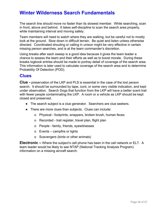The search line should move no faster than its slowest member. While searching, scan in front, above and behind. It takes self-discipline to scan the search area properly, while maintaining interval and moving safely.

Team members will need to watch where they are walking, but be careful not to mostly look at the ground. Slow down in difficult terrain. Be quiet and listen unless otherwise directed. Coordinated shouting or calling in unison might be very effective in certain missing person searches, and is at the team commander's discretion.

Using breaks after each sweep is a good idea because it gives the team leader a chance to assess the team and their efforts as well as to boost morale. During these breaks logbook entries should be made to portray detail of coverage of the search area. This information is later used to calculate coverage of the search area and to determine Probability Of Detection (POD).

### **Clues**

**Clue -** preservation of the LKP and PLS is essential in the case of the lost person search. It should be surrounded by tape, cord, or some very visible indication, and kept under observation. Search Dogs that function from the LKP will have a better scent trail with fewer people contaminating the LKP. A room or a vehicle as LKP should be kept closed and preserved.

- The search subject is a clue generator. Searchers are clue seekers.
- There are more clues than subjects. Clues can include:
	- o Physical footprints, wrappers, broken brush, human feces
	- o Recorded trail register, travel plan, flight plan
	- o People family, friends, eyewitnesses
	- o Events campfire or lights
	- o Scavengers (birds or other animals)

**Electronic –** Where the subject's cell phone has been in the cell network or ELT. A team leader would be likely to see NTAP (National Tracking Analysis Program) information on a missing aircraft search.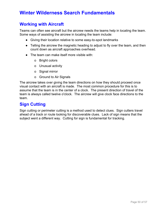### **Working with Aircraft**

Teams can often see aircraft but the aircrew needs the teams help in locating the team. Some ways of assisting the aircrew in locating the team include:

- Giving their location relative to some easy-to-spot landmarks
- Telling the aircrew the magnetic heading to adjust to fly over the team, and then count down as aircraft approaches overhead.
- The team can make itself more visible with:
	- o Bright colors
	- o Unusual activity
	- o Signal mirror
	- o Ground to Air Signals

The aircrew takes over giving the team directions on how they should proceed once visual contact with an aircraft is made. The most common procedure for this is to assume that the team is in the center of a clock. The present direction of travel of the team is always called twelve o'clock. The aircrew will give clock face directions to the team.

### **Sign Cutting**

Sign cutting or perimeter cutting is a method used to detect clues. Sign cutters travel ahead of a track or route looking for discoverable clues. Lack of sign means that the subject went a different way. Cutting for sign is fundamental for tracking.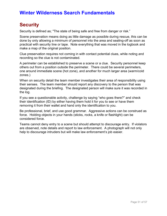# **Security**

Security is defined as; "The state of being safe and free from danger or risk."

Scene preservation means doing as little damage as possible during rescue, this can be done by only allowing a minimum of personnel into the area and sealing-off as soon as practical with security line or tape. Note everything that was moved in the logbook and make a map of the original position.

Clue preservation requires not coming in with contact potential clues, while noting and recording so the clue is not contaminated.

A perimeter can be established to preserve a scene or a clue. Security personnel keep others out from a position outside the perimeter. There could be several perimeters, one around immediate scene (hot zone), and another for much larger area (warm/cold zones.)

When on security detail the team member investigates their area of responsibility using their senses. The team member should report any discovery to the person that was designated during the briefing. The designated person will make sure it was recorded in the log.

If you see a questionable activity, challenge by saying "who goes there?" and check their identification (ID) by either having them hold it for you to see or have them removing it from their wallet and hand only the identification to you.

Be professional, brief, and use good grammar. Aggressive actions can be construed as force. Holding objects in your hands (sticks, rocks, a knife or flashlight) can be considered force.

Teams cannot deny entry to a scene but should attempt to discourage entry. If violators are observed, note details and report to law enforcement. A photograph will not only help to discourage intruders but will make law enforcement's job easier.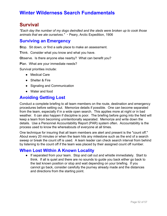# **Survival**

*"Each day the number of my dogs dwindled and the sleds were broken up to cook those animals that we ate ourselves."* ∼ Peary, Arctic Expedition, 1906

### **Surviving an Emergency**

**S**top. Sit down, or find a safe place to make an assessment.

**T**hink. Consider what you know and what you have.

**Observe.** Is there anyone else nearby? What can benefit you?

**P**lan. What are your immediate needs?

Survival priorities include:

- Medical Care
- Shelter & Fire
- Signaling and Communication
- Water and food

### **Avoiding Getting Lost**

Conduct a complete briefing to all team members on the route, destination and emergency procedures before setting out. Memorize details if possible. One can become separated from the team, especially if in a wide open search. This applies more at night or in bad weather. It can also happen if discipline is poor. The briefing before going into the field will keep a team from becoming unintentionally separated. Memorize and write down the details. Use a Personnel Accountability Report (PAR) system often. Accountability is the process used to know the whereabouts of everyone at all times.

One technique for insuring that all team members are alert and present is the "count off." About every 20 minutes or when the team hits any milestone such as the end of a search sweep or break the count off is used. A team leader can check search interval from behind by listening to the count off if the team was placed by their assigned count off number.

### **When Lost Within A Known Locality**

● If separated from your team. Stop and call out and whistle immediately. Start to think. If all is quiet and there are no sounds to guide you back either go back to the last known position or stop and wait depending on your briefing. If you cannot go back, consider carefully the journey already made and the distances and directions from the starting point.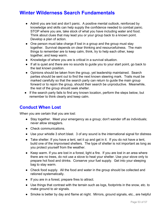- Admit you are lost and don't panic. A positive mental outlook, reinforced by knowledge and skills can help supply the confidence needed to combat panic. STOP where you are, take stock of what you have including water and food. Think about clues that may lead you or your group back to a known point. Develop a plan of action.
- One person must take charge if lost in a group and the group must stay together. Survival depends on clear thinking and resourcefulness. The main things to remember are to keep calm, think, try to help each other, keep together, and keep warm.
- Knowledge of where you are is critical in a survival situation.
- If all is quiet and there are no sounds to guide you to your start point, go back to the last known position.
- Opinions should be taken from the group, yet leadership maintained. Search parties should be sent out to find the next known steering mark. Trails must be marked carefully so that the search party can return to guide the main group forward or to rejoin the group, should their search be unproductive. Meanwhile, the rest of the group should seek shelter.
- If the search party fails to find any known location, perform the steps below, but remember to think clearly and keep calm.

### **Conduct When Lost**

When you are certain that you are lost:

- Stay together. Meet your emergency as a group; don't wander off as individuals; never allow stragglers.
- Check communications.
- Use your whistle 3 short blast. 3 of any sound is the international signal for distress
- $\bullet$  Take shelter. If you have a tent, set it up and get in it. If you do not have a tent, build one of the improvised shelters. The type of shelter is not important as long as you protect yourself from the weather.
- Keep warm. If you are lost in a forest, light a fire. If you are lost in an area where there are no trees, do not use a stove to heat your shelter. Use your stove only to prepare hot food and drinks. Conserve your fuel supply. Get into your sleeping bag to stay warm.
- Check food supply. All the food and water in the group should be collected and rationed systematically.
- If you are in a forest, prepare fires to attract.
- Use things that contrast with the terrain such as logs, footprints in the snow, etc. to make ground to air signals.
- Smoke is better by day and flame at night. Mirrors, ground signals, etc., are helpful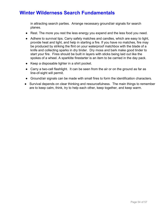in attracting search parties. Arrange necessary ground/air signals for search planes.

- Rest. The more you rest the less energy you expend and the less food you need.
- Adhere to survival tips. Carry safety matches and candles, which are easy to light, provide heat and light, and help in starting a fire. If you have no matches, fire may be produced by striking the flint on your waterproof matchbox with the blade of a knife and collecting sparks in dry tinder. Dry moss and bark make good tinder to start your fire. Fires should be built in layers with sticks being laid out like the spokes of a wheel. A sparklite firestarter is an item to be carried in the day pack.
- Keep a disposable lighter in a shirt pocket.
- Carry a two-cell flashlight. It can be seen from the air or on the ground as far as line-of-sight will permit.
- Ground/air signals can be made with small fires to form the identification characters.
- Survival depends on clear thinking and resourcefulness. The main things to remember are to keep calm, think, try to help each other, keep together, and keep warm.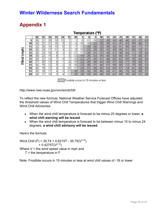|               |    |                 |    |                 |                 |                 |             |        |           |       | Temperature (°F) |       |        |       |       |       |       |        |       |
|---------------|----|-----------------|----|-----------------|-----------------|-----------------|-------------|--------|-----------|-------|------------------|-------|--------|-------|-------|-------|-------|--------|-------|
|               |    | 40              | 35 | 30              | 25              | 20              | 15          | 10     | 5         | 0     | -5               | $-10$ | $-15$  | -20   | $-25$ | 30    | -35   | $-40$  | 45    |
| (mph)<br>Wind | 5  | 36              | 31 | 25 <sub>1</sub> | 19 <sub>1</sub> | 13 <sub>1</sub> | 7           |        | -5        | $-11$ | $-16$            | $-22$ | $-28$  | $-34$ | - 40  | $-46$ | $-52$ | $-57$  | $-63$ |
|               | 10 | 34              | 27 | 21              | 15              | 9               | 3           | $-4$   | $-10$     | $-16$ | $-22$            | $-28$ | $-35$  | $-41$ | $-47$ | $-53$ | $-59$ | -66    | $-72$ |
|               | 15 | 32              | 25 | 19              | 13              | 6               | 0           | $-7$   | $-13^{r}$ | $-19$ | $-26$            | $-32$ | -39    | $-45$ | $-51$ | $-58$ | $-64$ | $-71$  | $-77$ |
|               | 20 | 30 <sup>2</sup> | 24 | 17              | 1               | 4               | $-2$        | $-9$   | $-15$     | $-22$ | $-29$            | $-35$ | $-42$  | $-48$ | $-55$ | $-61$ | -68   | $-74$  | $-81$ |
|               | 25 | 29              | 23 | 16              | 9               | 3               | $-4$        | $-11$  | $-17$     | $-24$ | $-31$            | $-37$ | $-44$  | $-51$ | $-58$ | $-64$ | $-71$ | $-78$  | $-84$ |
|               | 30 | 28              | 22 | 15 <sub>1</sub> | 8               |                 | -5          | $-12$  | $-19$     | $-26$ | $-33$            | $-39$ | $-46$  | $-53$ | $-60$ | $-67$ | $-73$ | $-80$  | $-87$ |
|               | 35 | 28              | 21 | 14.             | ⇁               | 0               | -7          | $-14$  | $-21$     | $-27$ | $-34$            | $-41$ | $-48$  | $-55$ | $-62$ | $-69$ | $-76$ | $-82$  | $-89$ |
|               | 40 | 27              | 20 | 13              | 6               | $\overline{1}$  | -8          | $-15$  | $-22$     | $-29$ | $-36$            | $-43$ | $-50$  | $-57$ | $-64$ | $-71$ | $-78$ | $-84$  | $-91$ |
|               | 45 | 26              | 19 | 12              | 5               | $-2$            | -9          | $-16$  | $-23$     | $-30$ | $-37$            | $-44$ | $-51$  | $-58$ | $-65$ | $-72$ | $-79$ | -86    | $-93$ |
|               | 50 | 26              | 19 | 12              | 4               | -3              | -10         | $-17$  | $-24'$    | $-31$ | $-38$            | $-45$ | $-52$  | -60   | $-67$ | $-74$ | $-81$ | $-88$  | $-95$ |
|               | 55 | 25              | 18 | 11              | 4               | -3              | $-11$       | $-18$  | $-25$     | -32   | $-39$            | $-46$ | $-54'$ | $-61$ | $-68$ | $-75$ | $-82$ | $-89'$ | $-97$ |
|               | 60 | 25 <sub>1</sub> | 17 | 10              | 3               | - 4             | и<br>and in | $-19F$ | $-26$     | $-33$ | $-40$            | $-48$ | $-55$  | $-62$ | $-69$ | $-76$ | $-84$ | $-91$  | $-98$ |

# **Appendix 1**

Frostbite occurs in 15 minutes or less

http://www.nws.noaa.gov/om/windchill/

To reflect the new formula, National Weather Service Forecast Offices have adjusted the threshold values of Wind Chill Temperatures that trigger Wind Chill Warnings and Wind Chill Advisories.

- When the wind chill temperature is forecast to be minus 25 degrees or lower, **a wind chill warning will be issued**.
- When the wind chill temperature is forecast to be between minus 10 to minus 24 degrees, **a wind chill advisory will be issued**.

Here's the formula:

Wind Chill (F) = 35.74 + 0.6215T - 35.75( $V^{0.16}$ )  $+$  0.4275T( $V^{0.16}$ ) Where  $V =$  the wind speed value in mph and  $T =$  the temperature in  $F$ 

Note: Frostbite occurs in 15 minutes or less at wind chill values of -18 or lower